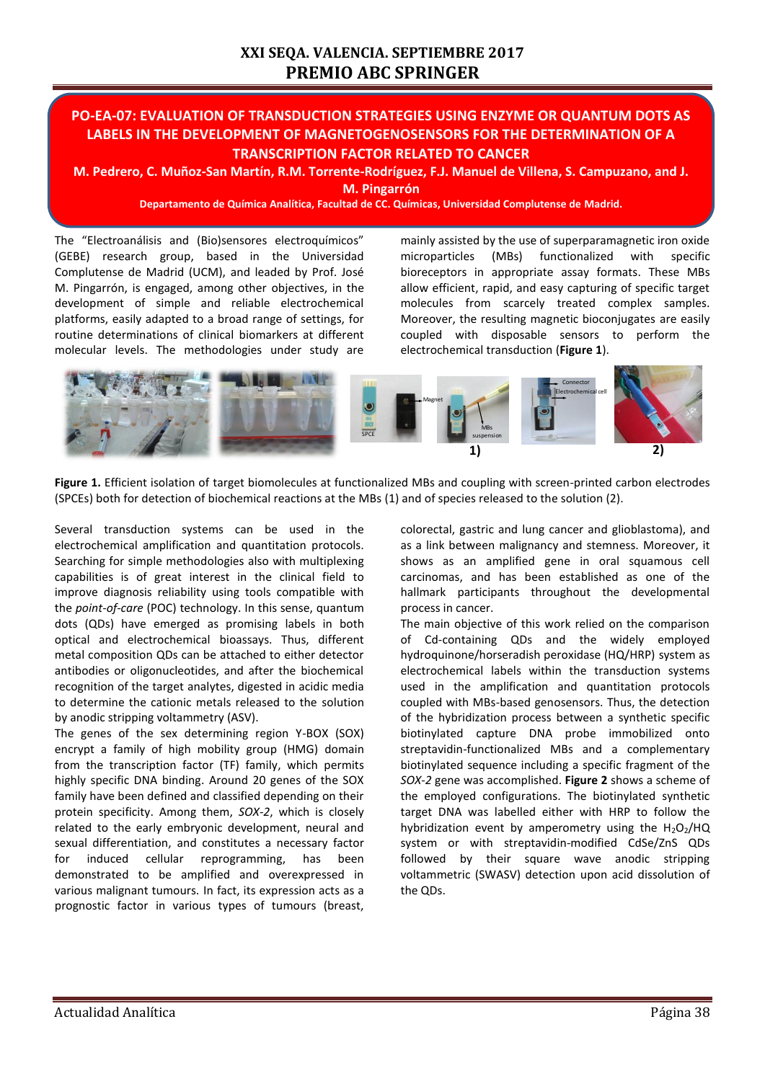## **PO-EA-07: EVALUATION OF TRANSDUCTION STRATEGIES USING ENZYME OR QUANTUM DOTS AS LABELS IN THE DEVELOPMENT OF MAGNETOGENOSENSORS FOR THE DETERMINATION OF A TRANSCRIPTION FACTOR RELATED TO CANCER**

**M. Pedrero, C. Muñoz-San Martín, R.M. Torrente-Rodríguez, F.J. Manuel de Villena, S. Campuzano, and J.** 

**M. Pingarrón**

**Departamento de Química Analítica, Facultad de CC. Químicas, Universidad Complutense de Madrid.**

The "Electroanálisis and (Bio)sensores electroquímicos" (GEBE) research group, based in the Universidad Complutense de Madrid (UCM), and leaded by Prof. José M. Pingarrón, is engaged, among other objectives, in the development of simple and reliable electrochemical platforms, easily adapted to a broad range of settings, for routine determinations of clinical biomarkers at different molecular levels. The methodologies under study are mainly assisted by the use of superparamagnetic iron oxide microparticles (MBs) functionalized with specific bioreceptors in appropriate assay formats. These MBs allow efficient, rapid, and easy capturing of specific target molecules from scarcely treated complex samples. Moreover, the resulting magnetic bioconjugates are easily coupled with disposable sensors to perform the electrochemical transduction (**Figure 1**).



**Figure 1.** Efficient isolation of target biomolecules at functionalized MBs and coupling with screen-printed carbon electrodes (SPCEs) both for detection of biochemical reactions at the MBs (1) and of species released to the solution (2).

Several transduction systems can be used in the electrochemical amplification and quantitation protocols. Searching for simple methodologies also with multiplexing capabilities is of great interest in the clinical field to improve diagnosis reliability using tools compatible with the *point-of-care* (POC) technology. In this sense, quantum dots (QDs) have emerged as promising labels in both optical and electrochemical bioassays. Thus, different metal composition QDs can be attached to either detector antibodies or oligonucleotides, and after the biochemical recognition of the target analytes, digested in acidic media to determine the cationic metals released to the solution by anodic stripping voltammetry (ASV).

The genes of the sex determining region Y-BOX (SOX) encrypt a family of high mobility group (HMG) domain from the transcription factor (TF) family, which permits highly specific DNA binding. Around 20 genes of the SOX family have been defined and classified depending on their protein specificity. Among them, *SOX-2*, which is closely related to the early embryonic development, neural and sexual differentiation, and constitutes a necessary factor for induced cellular reprogramming, has been demonstrated to be amplified and overexpressed in various malignant tumours. In fact, its expression acts as a prognostic factor in various types of tumours (breast, colorectal, gastric and lung cancer and glioblastoma), and as a link between malignancy and stemness. Moreover, it shows as an amplified gene in oral squamous cell carcinomas, and has been established as one of the hallmark participants throughout the developmental process in cancer.

The main objective of this work relied on the comparison of Cd-containing QDs and the widely employed hydroquinone/horseradish peroxidase (HQ/HRP) system as electrochemical labels within the transduction systems used in the amplification and quantitation protocols coupled with MBs-based genosensors. Thus, the detection of the hybridization process between a synthetic specific biotinylated capture DNA probe immobilized onto streptavidin-functionalized MBs and a complementary biotinylated sequence including a specific fragment of the *SOX-2* gene was accomplished. **Figure 2** shows a scheme of the employed configurations. The biotinylated synthetic target DNA was labelled either with HRP to follow the hybridization event by amperometry using the  $H_2O_2/HQ$ system or with streptavidin-modified CdSe/ZnS QDs followed by their square wave anodic stripping voltammetric (SWASV) detection upon acid dissolution of the QDs.